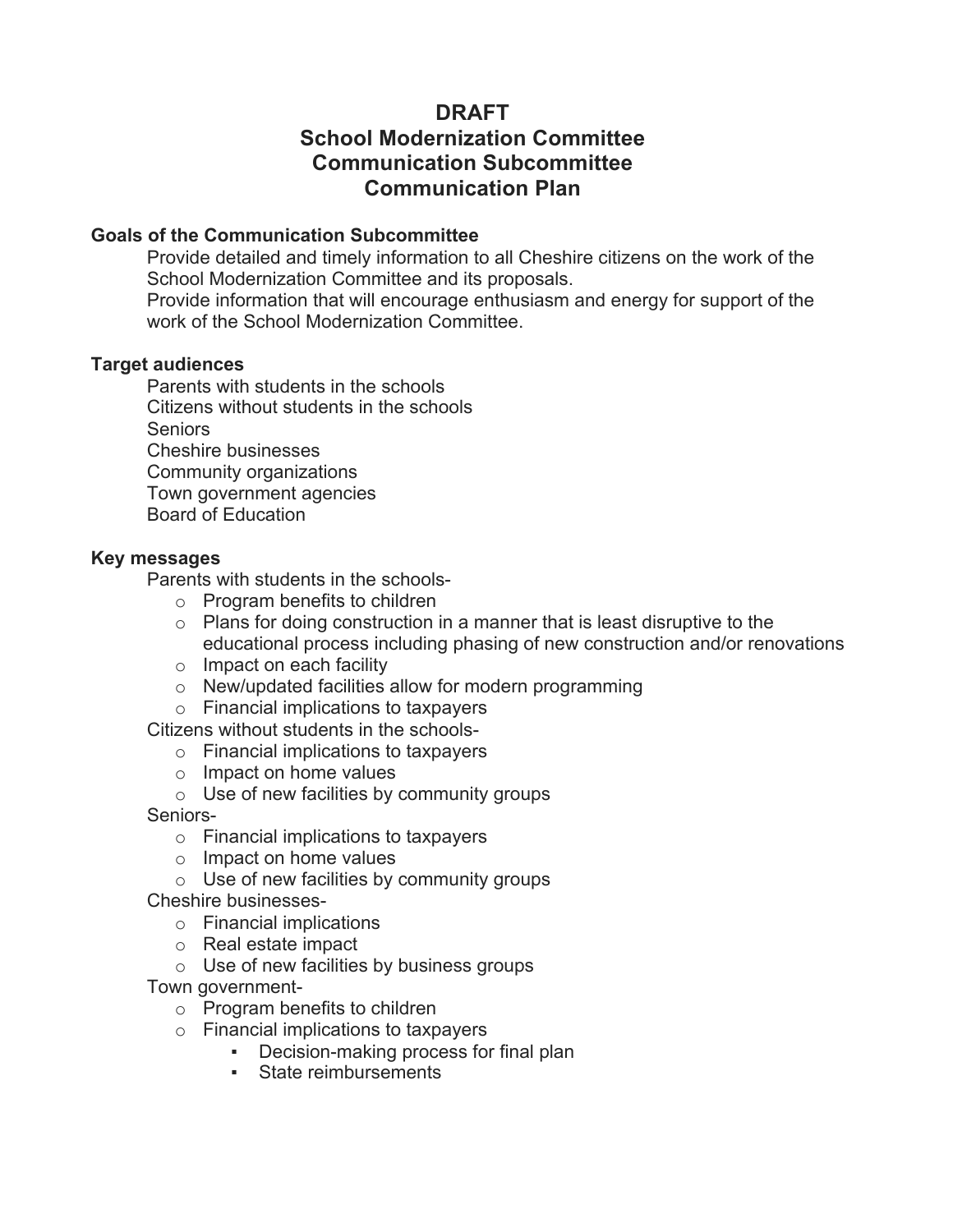# **DRAFT School Modernization Committee Communication Subcommittee Communication Plan**

## **Goals of the Communication Subcommittee**

 Provide detailed and timely information to all Cheshire citizens on the work of the School Modernization Committee and its proposals.

 Provide information that will encourage enthusiasm and energy for support of the work of the School Modernization Committee.

### **Target audiences**

 Parents with students in the schools Citizens without students in the schools Seniors Cheshire businesses Community organizations Town government agencies Board of Education

## **Key messages**

Parents with students in the schools-

- o Program benefits to children
- $\circ$  Plans for doing construction in a manner that is least disruptive to the educational process including phasing of new construction and/or renovations
- o Impact on each facility
- o New/updated facilities allow for modern programming
- o Financial implications to taxpayers

Citizens without students in the schools-

- o Financial implications to taxpayers
- o Impact on home values

 $\circ$  Use of new facilities by community groups

Seniors-

- o Financial implications to taxpayers
- o Impact on home values
- $\circ$  Use of new facilities by community groups
- Cheshire businesses
	- o Financial implications
	- o Real estate impact
	- $\circ$  Use of new facilities by business groups

Town government-

- o Program benefits to children
- o Financial implications to taxpayers
	- Decision-making process for final plan
	- State reimbursements